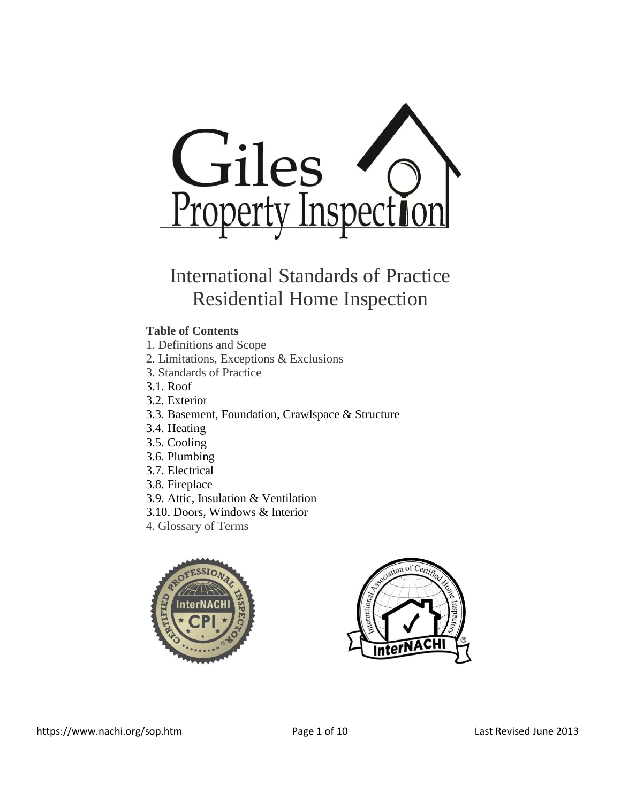

# International Standards of Practice Residential Home Inspection

# **Table of Contents**

- 1. Definitions and Scope
- 2. Limitations, Exceptions & Exclusions
- 3. Standards of Practice
- 3.1. [Roof](https://www.nachi.org/sop.htm#roof)
- 3.2. [Exterior](https://www.nachi.org/sop.htm#exterior)
- 3.3. [Basement, Foundation, Crawlspace & Structure](https://www.nachi.org/sop.htm#basement)
- 3.4. [Heating](https://www.nachi.org/sop.htm#heating)
- 3.5. [Cooling](https://www.nachi.org/sop.htm#cooling)
- 3.6. [Plumbing](https://www.nachi.org/sop.htm#plumbing)
- 3.7. [Electrical](https://www.nachi.org/sop.htm#electrical)
- 3.8. [Fireplace](https://www.nachi.org/sop.htm#fireplace)
- 3.9. [Attic, Insulation & Ventilation](https://www.nachi.org/sop.htm#attic)
- 3.10. [Doors, Windows & Interior](https://www.nachi.org/sop.htm#doors)
- 4. Glossary of Terms



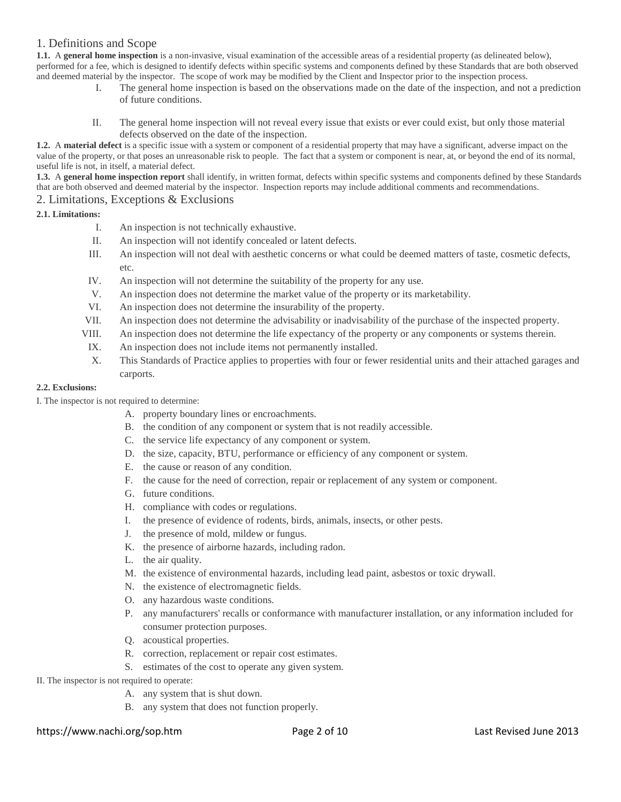# 1. Definitions and Scope

**1.1.** A **general home inspection** is a non-invasive, visual examination of the accessible areas of a residential property (as delineated below), performed for a fee, which is designed to identify defects within specific systems and components defined by these Standards that are both observed and deemed material by the inspector. The scope of work may be modified by the Client and Inspector prior to the inspection process.

- I. The general home inspection is based on the observations made on the date of the inspection, and not a prediction of future conditions.
- II. The general home inspection will not reveal every issue that exists or ever could exist, but only those material defects observed on the date of the inspection.

**1.2.** A **material defect** is a specific issue with a system or component of a residential property that may have a significant, adverse impact on the value of the property, or that poses an unreasonable risk to people. The fact that a system or component is near, at, or beyond the end of its normal, useful life is not, in itself, a material defect.

**1.3.** A **general home inspection report** shall identify, in written format, defects within specific systems and components defined by these Standards that are both observed and deemed material by the inspector. Inspection reports may include additional comments and recommendations. 2. Limitations, Exceptions & Exclusions

# **2.1. Limitations:**

- I. An inspection is not technically exhaustive.
- II. An inspection will not identify concealed or latent defects.
- III. An inspection will not deal with aesthetic concerns or what could be deemed matters of taste, cosmetic defects, etc.
- IV. An inspection will not determine the suitability of the property for any use.
- V. An inspection does not determine the market value of the property or its marketability.
- VI. An inspection does not determine the insurability of the property.
- VII. An inspection does not determine the advisability or inadvisability of the purchase of the inspected property.
- VIII. An inspection does not determine the life expectancy of the property or any components or systems therein.
- IX. An inspection does not include items not permanently installed.
- X. This Standards of Practice applies to properties with four or fewer residential units and their attached garages and carports.

# **2.2. Exclusions:**

I. The inspector is not required to determine:

- A. property boundary lines or encroachments.
	- B. the condition of any component or system that is not readily accessible.
	- C. the service life expectancy of any component or system.
- D. the size, capacity, BTU, performance or efficiency of any component or system.
- E. the cause or reason of any condition.
- F. the cause for the need of correction, repair or replacement of any system or component.
- G. future conditions.
- H. compliance with codes or regulations.
- I. the presence of evidence of rodents, birds, animals, insects, or other pests.
- J. the presence of mold, mildew or fungus.
- K. the presence of airborne hazards, including radon.
- L. the air quality.
- M. the existence of environmental hazards, including lead paint, asbestos or toxic drywall.
- N. the existence of electromagnetic fields.
- O. any hazardous waste conditions.
- P. any manufacturers' recalls or conformance with manufacturer installation, or any information included for consumer protection purposes.
- Q. acoustical properties.
- R. correction, replacement or repair cost estimates.
- S. estimates of the cost to operate any given system.
- II. The inspector is not required to operate:
	- A. any system that is shut down.
	- B. any system that does not function properly.

# https://www.nachi.org/sop.htm Page 2 of 10 Last Revised June 2013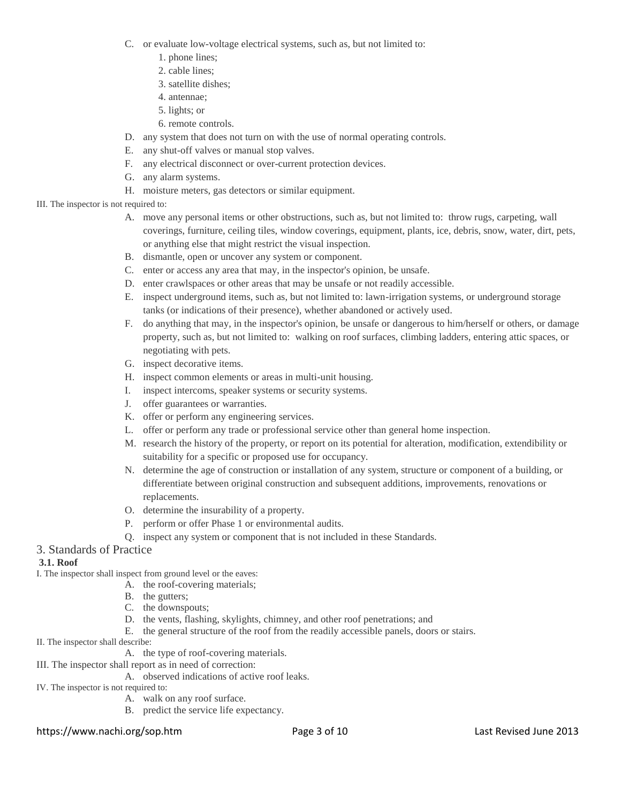- C. or evaluate low-voltage electrical systems, such as, but not limited to:
	- 1. phone lines;
	- 2. cable lines;
	- 3. satellite dishes;
	- 4. antennae;
	- 5. lights; or
	- 6. remote controls.
- D. any system that does not turn on with the use of normal operating controls.
- E. any shut-off valves or manual stop valves.
- F. any electrical disconnect or over-current protection devices.
- G. any alarm systems.
- H. moisture meters, gas detectors or similar equipment.

# III. The inspector is not required to:

- A. move any personal items or other obstructions, such as, but not limited to: throw rugs, carpeting, wall coverings, furniture, ceiling tiles, window coverings, equipment, plants, ice, debris, snow, water, dirt, pets, or anything else that might restrict the visual inspection.
- B. dismantle, open or uncover any system or component.
- C. enter or access any area that may, in the inspector's opinion, be unsafe.
- D. enter crawlspaces or other areas that may be unsafe or not readily accessible.
- E. inspect underground items, such as, but not limited to: lawn-irrigation systems, or underground storage tanks (or indications of their presence), whether abandoned or actively used.
- F. do anything that may, in the inspector's opinion, be unsafe or dangerous to him/herself or others, or damage property, such as, but not limited to: walking on roof surfaces, climbing ladders, entering attic spaces, or negotiating with pets.
- G. inspect decorative items.
- H. inspect common elements or areas in multi-unit housing.
- I. inspect intercoms, speaker systems or security systems.
- J. offer guarantees or warranties.
- K. offer or perform any engineering services.
- L. offer or perform any trade or professional service other than general home inspection.
- M. research the history of the property, or report on its potential for alteration, modification, extendibility or suitability for a specific or proposed use for occupancy.
- N. determine the age of construction or installation of any system, structure or component of a building, or differentiate between original construction and subsequent additions, improvements, renovations or replacements.
- O. determine the insurability of a property.
- P. perform or offer Phase 1 or environmental audits.
- Q. inspect any system or component that is not included in these Standards.

# 3. Standards of Practice

# **3.1. Roof**

I. The inspector shall inspect from ground level or the eaves:

- A. the roof-covering materials;
- B. the gutters;
- C. the downspouts;
- D. the vents, flashing, skylights, chimney, and other roof penetrations; and
- E. the general structure of the roof from the readily accessible panels, doors or stairs.
- II. The inspector shall describe:
	- A. the type of roof-covering materials.
- III. The inspector shall report as in need of correction:
	- A. observed indications of active roof leaks.
- IV. The inspector is not required to:
	- A. walk on any roof surface.
	- B. predict the service life expectancy.

# https://www.nachi.org/sop.htm Page 3 of 10 Last Revised June 2013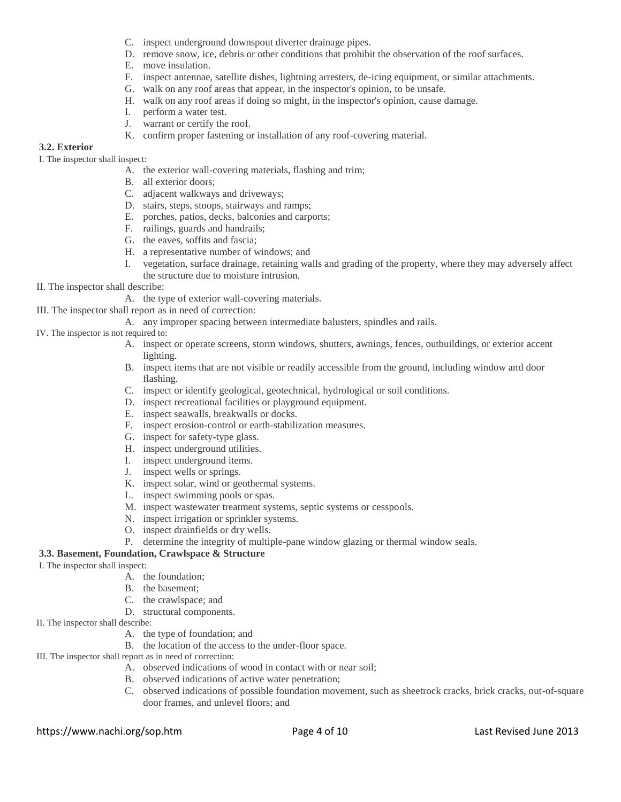- C. inspect underground downspout diverter drainage pipes.
- D. remove snow, ice, debris or other conditions that prohibit the observation of the roof surfaces.
- E. move insulation.
- F. inspect antennae, satellite dishes, lightning arresters, de-icing equipment, or similar attachments.
- G. walk on any roof areas that appear, in the inspector's opinion, to be unsafe.
- H. walk on any roof areas if doing so might, in the inspector's opinion, cause damage.
- I. perform a water test.
- J. warrant or certify the roof.
- K. confirm proper fastening or installation of any roof-covering material.

#### **3.2. Exterior**

I. The inspector shall inspect:

- A. the exterior wall-covering materials, flashing and trim;
- B. all exterior doors;
- C. adjacent walkways and driveways;
- D. stairs, steps, stoops, stairways and ramps;
- E. porches, patios, decks, balconies and carports;
- F. railings, guards and handrails;
- G. the eaves, soffits and fascia;
- H. a representative number of windows; and
- I. vegetation, surface drainage, retaining walls and grading of the property, where they may adversely affect the structure due to moisture intrusion.
- II. The inspector shall describe:
	- A. the type of exterior wall-covering materials.
- III. The inspector shall report as in need of correction:
	- A. any improper spacing between intermediate balusters, spindles and rails.
- IV. The inspector is not required to:
	- A. inspect or operate screens, storm windows, shutters, awnings, fences, outbuildings, or exterior accent lighting.
	- B. inspect items that are not visible or readily accessible from the ground, including window and door flashing.
	- C. inspect or identify geological, geotechnical, hydrological or soil conditions.
	- D. inspect recreational facilities or playground equipment.
	- E. inspect seawalls, breakwalls or docks.
	- F. inspect erosion-control or earth-stabilization measures.
	- G. inspect for safety-type glass.
	- H. inspect underground utilities.
	- I. inspect underground items.
	- J. inspect wells or springs.
	- K. inspect solar, wind or geothermal systems.
	- L. inspect swimming pools or spas.
	- M. inspect wastewater treatment systems, septic systems or cesspools.
	- N. inspect irrigation or sprinkler systems.
	- O. inspect drainfields or dry wells.
	- P. determine the integrity of multiple-pane window glazing or thermal window seals.

# **3.3. Basement, Foundation, Crawlspace & Structure**

# I. The inspector shall inspect:

- A. the foundation;
- B. the basement;
- C. the crawlspace; and
- D. structural components.
- II. The inspector shall describe:
	- A. the type of foundation; and
		- B. the location of the access to the under-floor space.
- III. The inspector shall report as in need of correction:
	- A. observed indications of wood in contact with or near soil;
	- B. observed indications of active water penetration;
	- C. observed indications of possible foundation movement, such as sheetrock cracks, brick cracks, out-of-square door frames, and unlevel floors; and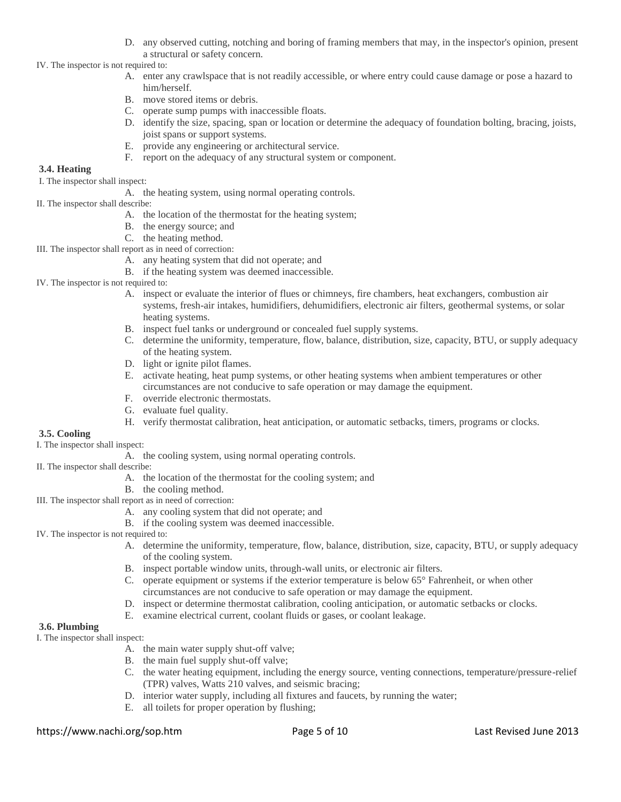- D. any observed cutting, notching and boring of framing members that may, in the inspector's opinion, present a structural or safety concern.
- IV. The inspector is not required to:
	- A. enter any crawlspace that is not readily accessible, or where entry could cause damage or pose a hazard to him/herself.
	- B. move stored items or debris.
	- C. operate sump pumps with inaccessible floats.
	- D. identify the size, spacing, span or location or determine the adequacy of foundation bolting, bracing, joists, joist spans or support systems.
	- E. provide any engineering or architectural service.
	- F. report on the adequacy of any structural system or component.

# **3.4. Heating**

I. The inspector shall inspect:

- A. the heating system, using normal operating controls.
- II. The inspector shall describe:
	- A. the location of the thermostat for the heating system;
	- B. the energy source; and
	- C. the heating method.
- III. The inspector shall report as in need of correction:
	- A. any heating system that did not operate; and
	- B. if the heating system was deemed inaccessible.
- IV. The inspector is not required to:
	- A. inspect or evaluate the interior of flues or chimneys, fire chambers, heat exchangers, combustion air systems, fresh-air intakes, humidifiers, dehumidifiers, electronic air filters, geothermal systems, or solar heating systems.
	- B. inspect fuel tanks or underground or concealed fuel supply systems.
	- C. determine the uniformity, temperature, flow, balance, distribution, size, capacity, BTU, or supply adequacy of the heating system.
	- D. light or ignite pilot flames.
	- E. activate heating, heat pump systems, or other heating systems when ambient temperatures or other circumstances are not conducive to safe operation or may damage the equipment.
	- F. override electronic thermostats.
	- G. evaluate fuel quality.
	- H. verify thermostat calibration, heat anticipation, or automatic setbacks, timers, programs or clocks.

#### **3.5. Cooling**

I. The inspector shall inspect:

- A. the cooling system, using normal operating controls.
- II. The inspector shall describe:
	- A. the location of the thermostat for the cooling system; and
	- B. the cooling method.
- III. The inspector shall report as in need of correction:
	- A. any cooling system that did not operate; and
	- B. if the cooling system was deemed inaccessible.
- IV. The inspector is not required to:
	- A. determine the uniformity, temperature, flow, balance, distribution, size, capacity, BTU, or supply adequacy of the cooling system.
	- B. inspect portable window units, through-wall units, or electronic air filters.
	- C. operate equipment or systems if the exterior temperature is below 65° Fahrenheit, or when other circumstances are not conducive to safe operation or may damage the equipment.
	- D. inspect or determine thermostat calibration, cooling anticipation, or automatic setbacks or clocks.
	- E. examine electrical current, coolant fluids or gases, or coolant leakage.

#### **3.6. Plumbing**

I. The inspector shall inspect:

- A. the main water supply shut-off valve;
- B. the main fuel supply shut-off valve;
- C. the water heating equipment, including the energy source, venting connections, temperature/pressure-relief (TPR) valves, Watts 210 valves, and seismic bracing;
- D. interior water supply, including all fixtures and faucets, by running the water;
- E. all toilets for proper operation by flushing;

#### https://www.nachi.org/sop.htm Page 5 of 10 Last Revised June 2013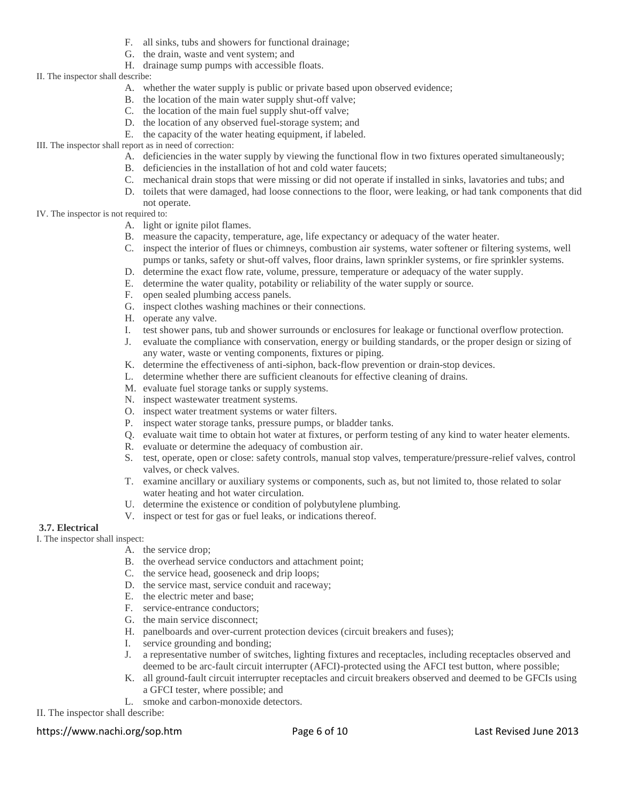- F. all sinks, tubs and showers for functional drainage;
- G. the drain, waste and vent system; and
- H. drainage sump pumps with accessible floats.

### II. The inspector shall describe:

- A. whether the water supply is public or private based upon observed evidence;
- B. the location of the main water supply shut-off valve;
- C. the location of the main fuel supply shut-off valve;
- D. the location of any observed fuel-storage system; and
- E. the capacity of the water heating equipment, if labeled.
- III. The inspector shall report as in need of correction:
	- A. deficiencies in the water supply by viewing the functional flow in two fixtures operated simultaneously;
	- B. deficiencies in the installation of hot and cold water faucets;
	- C. mechanical drain stops that were missing or did not operate if installed in sinks, lavatories and tubs; and
	- D. toilets that were damaged, had loose connections to the floor, were leaking, or had tank components that did not operate.

#### IV. The inspector is not required to:

- A. light or ignite pilot flames.
- B. measure the capacity, temperature, age, life expectancy or adequacy of the water heater.
- C. inspect the interior of flues or chimneys, combustion air systems, water softener or filtering systems, well pumps or tanks, safety or shut-off valves, floor drains, lawn sprinkler systems, or fire sprinkler systems.
- D. determine the exact flow rate, volume, pressure, temperature or adequacy of the water supply.
- E. determine the water quality, potability or reliability of the water supply or source.
- F. open sealed plumbing access panels.
- G. inspect clothes washing machines or their connections.
- H. operate any valve.
- I. test shower pans, tub and shower surrounds or enclosures for leakage or functional overflow protection.
- J. evaluate the compliance with conservation, energy or building standards, or the proper design or sizing of any water, waste or venting components, fixtures or piping.
- K. determine the effectiveness of anti-siphon, back-flow prevention or drain-stop devices.
- L. determine whether there are sufficient cleanouts for effective cleaning of drains.
- M. evaluate fuel storage tanks or supply systems.
- N. inspect wastewater treatment systems.
- O. inspect water treatment systems or water filters.
- P. inspect water storage tanks, pressure pumps, or bladder tanks.
- Q. evaluate wait time to obtain hot water at fixtures, or perform testing of any kind to water heater elements.
- R. evaluate or determine the adequacy of combustion air.
- S. test, operate, open or close: safety controls, manual stop valves, temperature/pressure-relief valves, control valves, or check valves.
- T. examine ancillary or auxiliary systems or components, such as, but not limited to, those related to solar water heating and hot water circulation.
- U. determine the existence or condition of polybutylene plumbing.
- V. inspect or test for gas or fuel leaks, or indications thereof.

#### **3.7. Electrical**

I. The inspector shall inspect:

- A. the service drop;
- B. the overhead service conductors and attachment point;
- C. the service head, gooseneck and drip loops;
- D. the service mast, service conduit and raceway;
- E. the electric meter and base;
- F. service-entrance conductors;
- G. the main service disconnect;
- H. panelboards and over-current protection devices (circuit breakers and fuses);
- I. service grounding and bonding;
- J. a representative number of switches, lighting fixtures and receptacles, including receptacles observed and deemed to be arc-fault circuit interrupter (AFCI)-protected using the AFCI test button, where possible;
- K. all ground-fault circuit interrupter receptacles and circuit breakers observed and deemed to be GFCIs using a GFCI tester, where possible; and
- L. smoke and carbon-monoxide detectors.

II. The inspector shall describe:

# https://www.nachi.org/sop.htm Page 6 of 10 Last Revised June 2013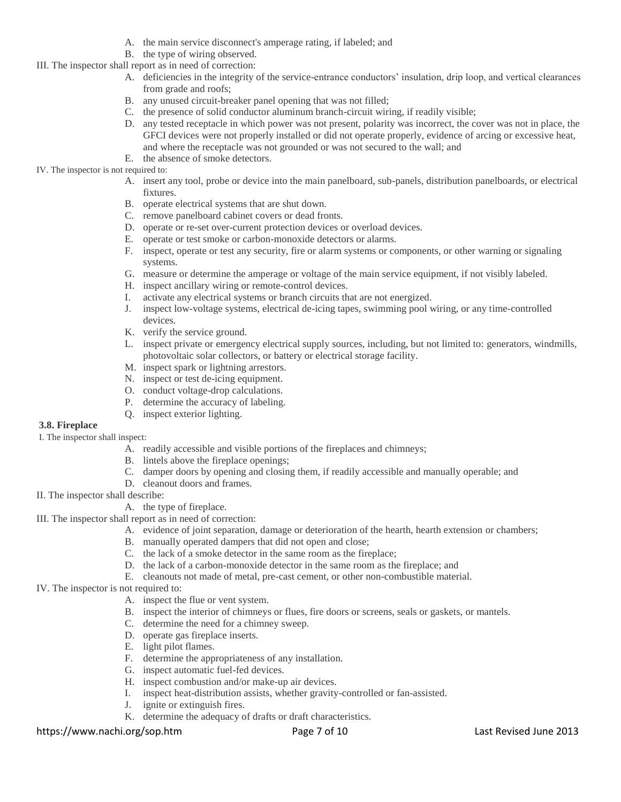- A. the main service disconnect's amperage rating, if labeled; and
- B. the type of wiring observed.
- III. The inspector shall report as in need of correction:
	- A. deficiencies in the integrity of the service-entrance conductors' insulation, drip loop, and vertical clearances from grade and roofs;
	- B. any unused circuit-breaker panel opening that was not filled;
	- C. the presence of solid conductor aluminum branch-circuit wiring, if readily visible;
	- D. any tested receptacle in which power was not present, polarity was incorrect, the cover was not in place, the GFCI devices were not properly installed or did not operate properly, evidence of arcing or excessive heat, and where the receptacle was not grounded or was not secured to the wall; and
	- E. the absence of smoke detectors.

#### IV. The inspector is not required to:

- A. insert any tool, probe or device into the main panelboard, sub-panels, distribution panelboards, or electrical fixtures.
- B. operate electrical systems that are shut down.
- C. remove panelboard cabinet covers or dead fronts.
- D. operate or re-set over-current protection devices or overload devices.
- E. operate or test smoke or carbon-monoxide detectors or alarms.
- F. inspect, operate or test any security, fire or alarm systems or components, or other warning or signaling systems.
- G. measure or determine the amperage or voltage of the main service equipment, if not visibly labeled.
- H. inspect ancillary wiring or remote-control devices.
- I. activate any electrical systems or branch circuits that are not energized.
- J. inspect low-voltage systems, electrical de-icing tapes, swimming pool wiring, or any time-controlled devices.
- K. verify the service ground.
- L. inspect private or emergency electrical supply sources, including, but not limited to: generators, windmills, photovoltaic solar collectors, or battery or electrical storage facility.
- M. inspect spark or lightning arrestors.
- N. inspect or test de-icing equipment.
- O. conduct voltage-drop calculations.
- P. determine the accuracy of labeling.
- Q. inspect exterior lighting.

#### **3.8. Fireplace**

I. The inspector shall inspect:

- A. readily accessible and visible portions of the fireplaces and chimneys;
- B. lintels above the fireplace openings;
- C. damper doors by opening and closing them, if readily accessible and manually operable; and
- D. cleanout doors and frames.
- II. The inspector shall describe:
	- A. the type of fireplace.
- III. The inspector shall report as in need of correction:
	- A. evidence of joint separation, damage or deterioration of the hearth, hearth extension or chambers;
	- B. manually operated dampers that did not open and close;
	- C. the lack of a smoke detector in the same room as the fireplace;
	- D. the lack of a carbon-monoxide detector in the same room as the fireplace; and
	- E. cleanouts not made of metal, pre-cast cement, or other non-combustible material.
- IV. The inspector is not required to:
	- A. inspect the flue or vent system.
	- B. inspect the interior of chimneys or flues, fire doors or screens, seals or gaskets, or mantels.
	- C. determine the need for a chimney sweep.
	- D. operate gas fireplace inserts.
	- E. light pilot flames.
	- F. determine the appropriateness of any installation.
	- G. inspect automatic fuel-fed devices.
	- H. inspect combustion and/or make-up air devices.
	- I. inspect heat-distribution assists, whether gravity-controlled or fan-assisted.
	- J. ignite or extinguish fires.
	- K. determine the adequacy of drafts or draft characteristics.

#### https://www.nachi.org/sop.htm Page 7 of 10 Last Revised June 2013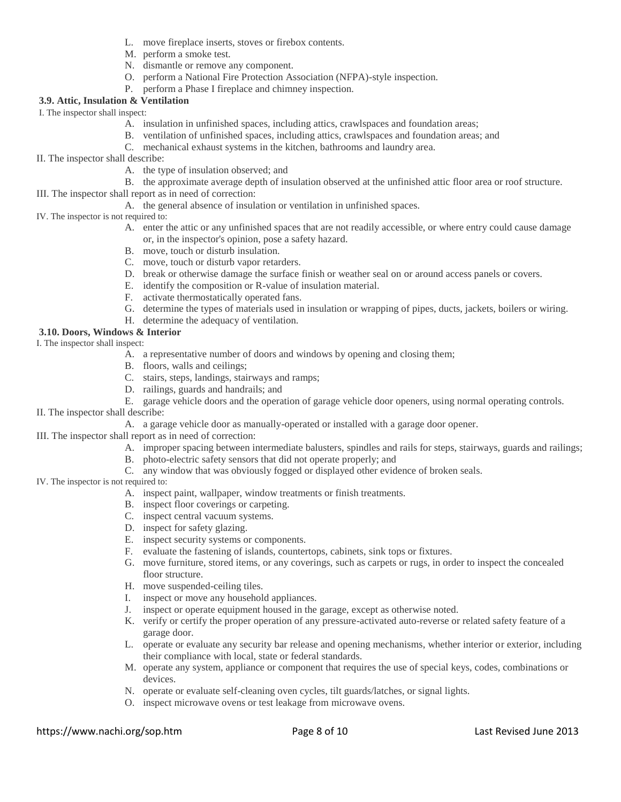- L. move fireplace inserts, stoves or firebox contents.
- M. perform a smoke test.
- N. dismantle or remove any component.
- O. perform a National Fire Protection Association (NFPA)-style inspection.
- P. perform a Phase I fireplace and chimney inspection.

# **3.9. Attic, Insulation & Ventilation**

I. The inspector shall inspect:

- A. insulation in unfinished spaces, including attics, crawlspaces and foundation areas;
- B. ventilation of unfinished spaces, including attics, crawlspaces and foundation areas; and
- C. mechanical exhaust systems in the kitchen, bathrooms and laundry area.
- II. The inspector shall describe:
	- A. the type of insulation observed; and

B. the approximate average depth of insulation observed at the unfinished attic floor area or roof structure.

- III. The inspector shall report as in need of correction:
	- A. the general absence of insulation or ventilation in unfinished spaces.

#### IV. The inspector is not required to:

- A. enter the attic or any unfinished spaces that are not readily accessible, or where entry could cause damage or, in the inspector's opinion, pose a safety hazard.
- B. move, touch or disturb insulation.
- C. move, touch or disturb vapor retarders.
- D. break or otherwise damage the surface finish or weather seal on or around access panels or covers.
- E. identify the composition or R-value of insulation material.
- F. activate thermostatically operated fans.
- G. determine the types of materials used in insulation or wrapping of pipes, ducts, jackets, boilers or wiring.
- H. determine the adequacy of ventilation.

# **3.10. Doors, Windows & Interior**

#### I. The inspector shall inspect:

- A. a representative number of doors and windows by opening and closing them;
- B. floors, walls and ceilings;
- C. stairs, steps, landings, stairways and ramps;
- D. railings, guards and handrails; and
- E. garage vehicle doors and the operation of garage vehicle door openers, using normal operating controls.
- II. The inspector shall describe:
	- A. a garage vehicle door as manually-operated or installed with a garage door opener.
- III. The inspector shall report as in need of correction:
	- A. improper spacing between intermediate balusters, spindles and rails for steps, stairways, guards and railings;
	- B. photo-electric safety sensors that did not operate properly; and
	- C. any window that was obviously fogged or displayed other evidence of broken seals.

#### IV. The inspector is not required to:

- A. inspect paint, wallpaper, window treatments or finish treatments.
- B. inspect floor coverings or carpeting.
- C. inspect central vacuum systems.
- D. inspect for safety glazing.
- E. inspect security systems or components.
- F. evaluate the fastening of islands, countertops, cabinets, sink tops or fixtures.
- G. move furniture, stored items, or any coverings, such as carpets or rugs, in order to inspect the concealed floor structure.
- H. move suspended-ceiling tiles.
- I. inspect or move any household appliances.
- J. inspect or operate equipment housed in the garage, except as otherwise noted.
- K. verify or certify the proper operation of any pressure-activated auto-reverse or related safety feature of a garage door.
- L. operate or evaluate any security bar release and opening mechanisms, whether interior or exterior, including their compliance with local, state or federal standards.
- M. operate any system, appliance or component that requires the use of special keys, codes, combinations or devices.
- N. operate or evaluate self-cleaning oven cycles, tilt guards/latches, or signal lights.
- O. inspect microwave ovens or test leakage from microwave ovens.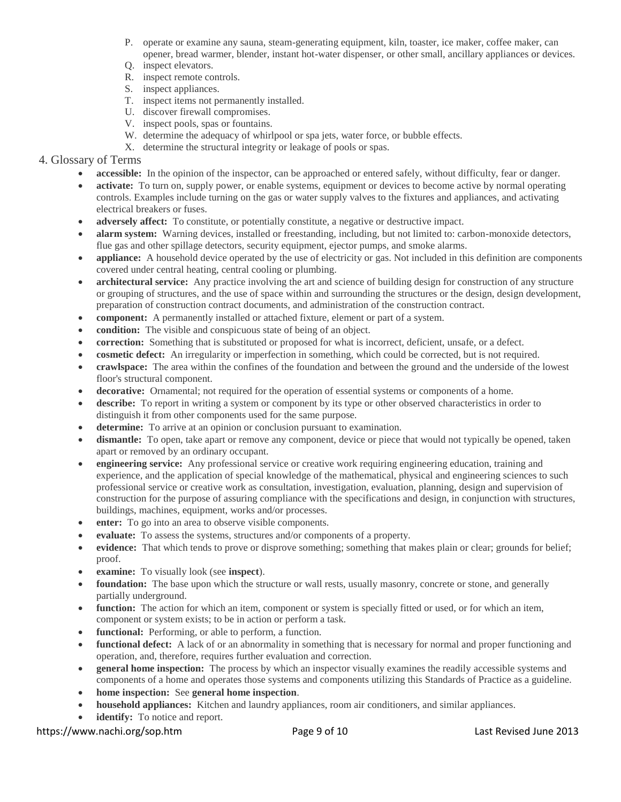- P. operate or examine any sauna, steam-generating equipment, kiln, toaster, ice maker, coffee maker, can opener, bread warmer, blender, instant hot-water dispenser, or other small, ancillary appliances or devices.
- Q. inspect elevators.
- R. inspect remote controls.
- S. inspect appliances.
- T. inspect items not permanently installed.
- U. discover firewall compromises.
- V. inspect pools, spas or fountains.
- W. determine the adequacy of whirlpool or spa jets, water force, or bubble effects.
- X. determine the structural integrity or leakage of pools or spas.

# 4. Glossary of Terms

- **accessible:** In the opinion of the inspector, can be approached or entered safely, without difficulty, fear or danger.
- **activate:** To turn on, supply power, or enable systems, equipment or devices to become active by normal operating controls. Examples include turning on the gas or water supply valves to the fixtures and appliances, and activating electrical breakers or fuses.
- **adversely affect:** To constitute, or potentially constitute, a negative or destructive impact.
- **alarm system:** Warning devices, installed or freestanding, including, but not limited to: carbon-monoxide detectors, flue gas and other spillage detectors, security equipment, ejector pumps, and smoke alarms.
- **appliance:** A household device operated by the use of electricity or gas. Not included in this definition are components covered under central heating, central cooling or plumbing.
- **architectural service:** Any practice involving the art and science of building design for construction of any structure or grouping of structures, and the use of space within and surrounding the structures or the design, design development, preparation of construction contract documents, and administration of the construction contract.
- **component:** A permanently installed or attached fixture, element or part of a system.
- **condition:** The visible and conspicuous state of being of an object.
- **correction:** Something that is substituted or proposed for what is incorrect, deficient, unsafe, or a defect.
- **cosmetic defect:** An irregularity or imperfection in something, which could be corrected, but is not required.
- **crawlspace:** The area within the confines of the foundation and between the ground and the underside of the lowest floor's structural component.
- **decorative:** Ornamental; not required for the operation of essential systems or components of a home.
- describe: To report in writing a system or component by its type or other observed characteristics in order to distinguish it from other components used for the same purpose.
- **determine:** To arrive at an opinion or conclusion pursuant to examination.
- **dismantle:** To open, take apart or remove any component, device or piece that would not typically be opened, taken apart or removed by an ordinary occupant.
- **engineering service:** Any professional service or creative work requiring engineering education, training and experience, and the application of special knowledge of the mathematical, physical and engineering sciences to such professional service or creative work as consultation, investigation, evaluation, planning, design and supervision of construction for the purpose of assuring compliance with the specifications and design, in conjunction with structures, buildings, machines, equipment, works and/or processes.
- **enter:** To go into an area to observe visible components.
- **evaluate:** To assess the systems, structures and/or components of a property.
- **evidence:** That which tends to prove or disprove something; something that makes plain or clear; grounds for belief; proof.
- **examine:** To visually look (see **inspect**).
- **foundation:** The base upon which the structure or wall rests, usually masonry, concrete or stone, and generally partially underground.
- **function:** The action for which an item, component or system is specially fitted or used, or for which an item, component or system exists; to be in action or perform a task.
- **functional:** Performing, or able to perform, a function.
- **functional defect:** A lack of or an abnormality in something that is necessary for normal and proper functioning and operation, and, therefore, requires further evaluation and correction.
- **general home inspection:** The process by which an inspector visually examines the readily accessible systems and components of a home and operates those systems and components utilizing this Standards of Practice as a guideline.
- **home inspection:** See **general home inspection**.
- **household appliances:** Kitchen and laundry appliances, room air conditioners, and similar appliances.
- **identify:** To notice and report.